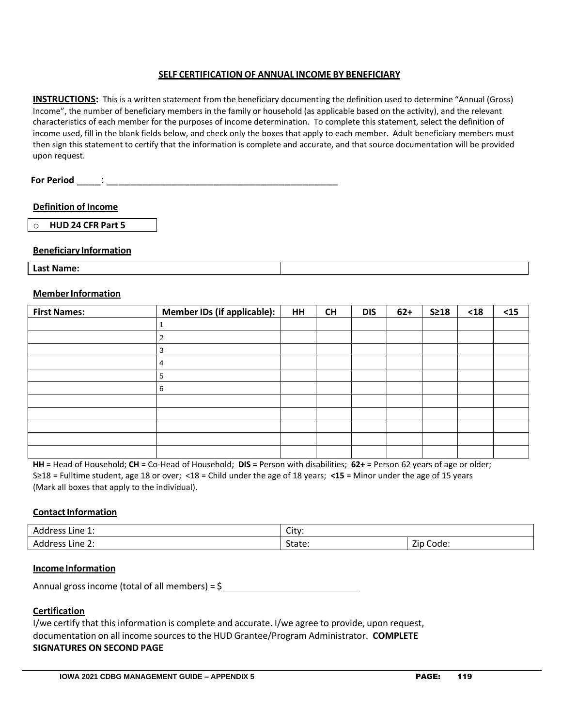#### **SELF CERTIFICATION OF ANNUAL INCOME BY BENEFICIARY**

**INSTRUCTIONS:** This is a written statement from the beneficiary documenting the definition used to determine "Annual (Gross) Income", the number of beneficiary members in the family or household (as applicable based on the activity), and the relevant characteristics of each member for the purposes of income determination. To complete this statement, select the definition of income used, fill in the blank fields below, and check only the boxes that apply to each member. Adult beneficiary members must then sign this statement to certify that the information is complete and accurate, and that source documentation will be provided upon request.

# **Definition of Income**

o **HUD 24 CFR Part 5**

## **Beneficiary Information**

**Last Name:**

#### **MemberInformation**

| <b>First Names:</b> | Member IDs (if applicable): | <b>HH</b> | <b>CH</b> | <b>DIS</b> | $62+$ | $S \geq 18$ | $<18$ | $15$ |
|---------------------|-----------------------------|-----------|-----------|------------|-------|-------------|-------|------|
|                     |                             |           |           |            |       |             |       |      |
|                     |                             |           |           |            |       |             |       |      |
|                     | 3                           |           |           |            |       |             |       |      |
|                     | 4                           |           |           |            |       |             |       |      |
|                     | 5                           |           |           |            |       |             |       |      |
|                     | 6                           |           |           |            |       |             |       |      |
|                     |                             |           |           |            |       |             |       |      |
|                     |                             |           |           |            |       |             |       |      |
|                     |                             |           |           |            |       |             |       |      |
|                     |                             |           |           |            |       |             |       |      |
|                     |                             |           |           |            |       |             |       |      |

**HH** = Head of Household; **CH** = Co-Head of Household; **DIS** = Person with disabilities; **62+** = Person 62 years of age or older; S≥18 = Fulltime student, age 18 or over; <18 = Child under the age of 18 years; **<15** = Minor under the age of 15 years (Mark all boxes that apply to the individual).

## **Contact Information**

| Address<br>Line 1: | City:  |                                       |  |
|--------------------|--------|---------------------------------------|--|
| Address<br>Line 2: | State: | $- \cdot$<br>$\sim$<br>Code:<br>Zip ( |  |

#### **Income Information**

Annual gross income (total of all members) = \$

## **Certification**

I/we certify that this information is complete and accurate. I/we agree to provide, upon request, documentation on all income sources to the HUD Grantee/Program Administrator. **COMPLETE SIGNATURES ON SECOND PAGE**